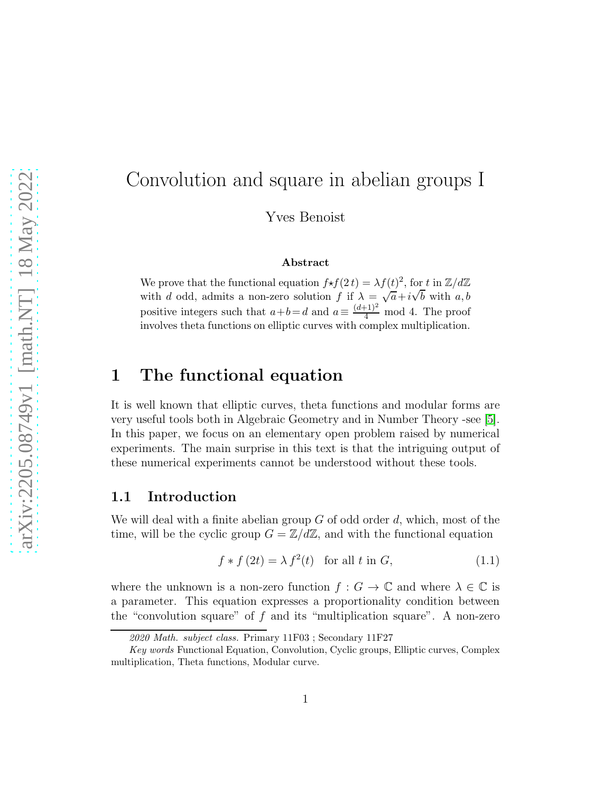# Convolution and square in abelian groups I

Yves Benoist

#### Abstract

We prove that the functional equation  $f \star f(2t) = \lambda f(t)^2$ , for t in  $\mathbb{Z}/d\mathbb{Z}$ with d odd, admits a non-zero solution f if  $\lambda = \sqrt{a} + i\sqrt{b}$  with a, b positive integers such that  $a+b=d$  and  $a \equiv \frac{(d+1)^2}{4} \mod 4$ . The proof involves theta functions on elliptic curves with complex multiplication.

# 1 The functional equation

It is well known that elliptic curves, theta functions and modular forms are very useful tools both in Algebraic Geometry and in Number Theory -see [\[5\]](#page-19-0). In this paper, we focus on an elementary open problem raised by numerical experiments. The main surprise in this text is that the intriguing output of these numerical experiments cannot be understood without these tools.

#### 1.1 Introduction

We will deal with a finite abelian group  $G$  of odd order  $d$ , which, most of the time, will be the cyclic group  $G = \mathbb{Z}/d\mathbb{Z}$ , and with the functional equation

<span id="page-0-0"></span>
$$
f * f(2t) = \lambda f^{2}(t) \text{ for all } t \text{ in } G,
$$
\n(1.1)

where the unknown is a non-zero function  $f : G \to \mathbb{C}$  and where  $\lambda \in \mathbb{C}$  is a parameter. This equation expresses a proportionality condition between the "convolution square" of  $f$  and its "multiplication square". A non-zero

<sup>2020</sup> Math. subject class. Primary 11F03 ; Secondary 11F27

Key words Functional Equation, Convolution, Cyclic groups, Elliptic curves, Complex multiplication, Theta functions, Modular curve.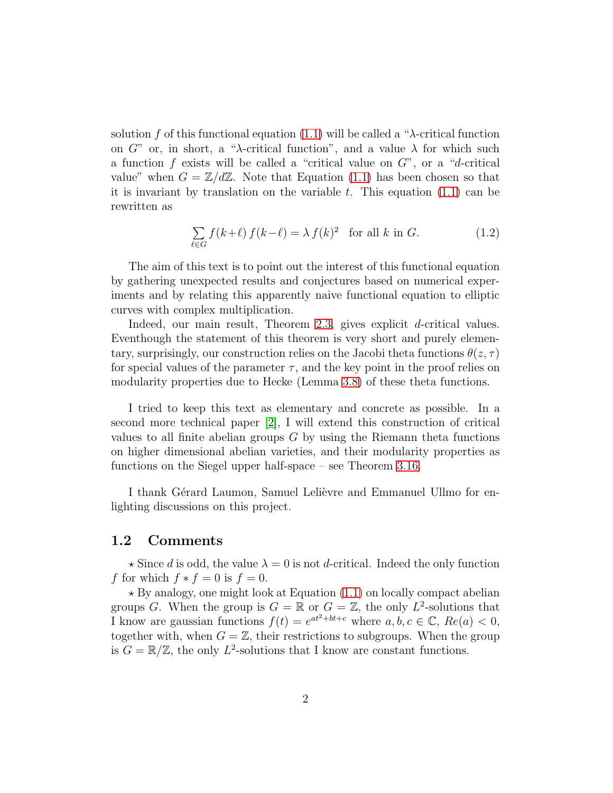solution f of this functional equation [\(1.1\)](#page-0-0) will be called a " $\lambda$ -critical function on G" or, in short, a "λ-critical function", and a value  $\lambda$  for which such a function  $f$  exists will be called a "critical value on  $G$ ", or a "d-critical value" when  $G = \mathbb{Z}/d\mathbb{Z}$ . Note that Equation [\(1.1\)](#page-0-0) has been chosen so that it is invariant by translation on the variable  $t$ . This equation  $(1.1)$  can be rewritten as

<span id="page-1-0"></span>
$$
\sum_{\ell \in G} f(k+\ell) f(k-\ell) = \lambda f(k)^2 \quad \text{for all } k \text{ in } G. \tag{1.2}
$$

The aim of this text is to point out the interest of this functional equation by gathering unexpected results and conjectures based on numerical experiments and by relating this apparently naive functional equation to elliptic curves with complex multiplication.

Indeed, our main result, Theorem [2.3,](#page-5-0) gives explicit d-critical values. Eventhough the statement of this theorem is very short and purely elementary, surprisingly, our construction relies on the Jacobi theta functions  $\theta(z, \tau)$ for special values of the parameter  $\tau$ , and the key point in the proof relies on modularity properties due to Hecke (Lemma [3.8\)](#page-11-0) of these theta functions.

I tried to keep this text as elementary and concrete as possible. In a second more technical paper [\[2\]](#page-19-1), I will extend this construction of critical values to all finite abelian groups  $G$  by using the Riemann theta functions on higher dimensional abelian varieties, and their modularity properties as functions on the Siegel upper half-space – see Theorem [3.16.](#page-18-0)

I thank Gérard Laumon, Samuel Lelièvre and Emmanuel Ullmo for enlighting discussions on this project.

#### 1.2 Comments

 $\star$  Since d is odd, the value  $\lambda = 0$  is not d-critical. Indeed the only function f for which  $f * f = 0$  is  $f = 0$ .

 $\star$  By analogy, one might look at Equation [\(1.1\)](#page-0-0) on locally compact abelian groups G. When the group is  $G = \mathbb{R}$  or  $G = \mathbb{Z}$ , the only  $L^2$ -solutions that I know are gaussian functions  $f(t) = e^{at^2 + bt + c}$  where  $a, b, c \in \mathbb{C}$ ,  $Re(a) < 0$ , together with, when  $G = \mathbb{Z}$ , their restrictions to subgroups. When the group is  $G = \mathbb{R}/\mathbb{Z}$ , the only  $L^2$ -solutions that I know are constant functions.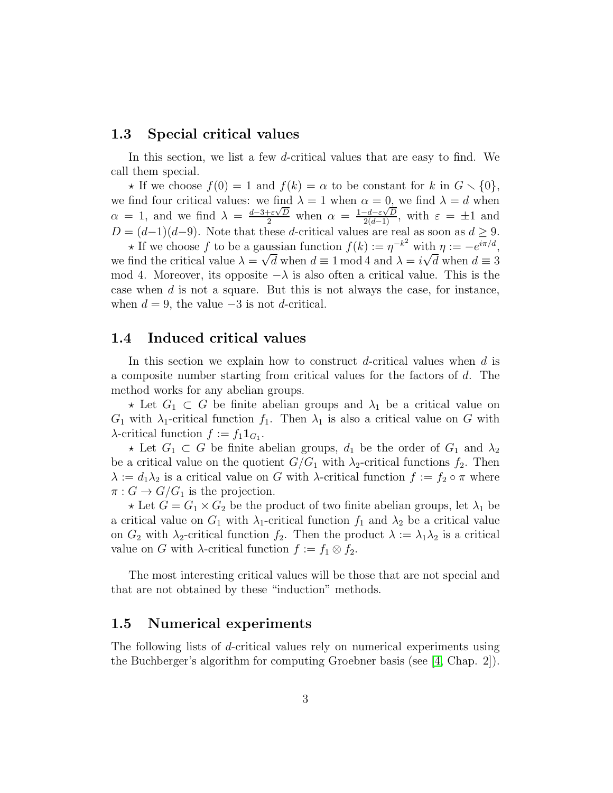#### 1.3 Special critical values

In this section, we list a few d-critical values that are easy to find. We call them special.

 $\star$  If we choose  $f(0) = 1$  and  $f(k) = \alpha$  to be constant for k in  $G \setminus \{0\},$ we find four critical values: we find  $\lambda = 1$  when  $\alpha = 0$ , we find  $\lambda = d$  when  $\alpha = 1$ , and we find  $\lambda = \frac{d-3+\varepsilon\sqrt{D}}{2}$  when  $\alpha = \frac{1-d-\varepsilon\sqrt{D}}{2(d-1)}$ , with  $\varepsilon = \pm 1$  and  $D = (d-1)(d-9)$ . Note that these d-critical values are real as soon as  $d \geq 9$ .

 $\star$  If we choose f to be a gaussian function  $f(k) := \eta^{-k^2}$  with  $\eta := -e^{i\pi/d}$ , we find the critical value  $\lambda = \sqrt{d}$  when  $d \equiv 1 \mod 4$  and  $\lambda = i\sqrt{d}$  when  $d \equiv 3$ mod 4. Moreover, its opposite  $-\lambda$  is also often a critical value. This is the case when  $d$  is not a square. But this is not always the case, for instance, when  $d = 9$ , the value  $-3$  is not d-critical.

### 1.4 Induced critical values

In this section we explain how to construct d-critical values when  $d$  is a composite number starting from critical values for the factors of d. The method works for any abelian groups.

 $\star$  Let  $G_1 \subset G$  be finite abelian groups and  $\lambda_1$  be a critical value on  $G_1$  with  $\lambda_1$ -critical function  $f_1$ . Then  $\lambda_1$  is also a critical value on G with  $\lambda$ -critical function  $f := f_1 \mathbf{1}_{G_1}$ .

 $\star$  Let  $G_1 \subset G$  be finite abelian groups,  $d_1$  be the order of  $G_1$  and  $\lambda_2$ be a critical value on the quotient  $G/G_1$  with  $\lambda_2$ -critical functions  $f_2$ . Then  $\lambda := d_1 \lambda_2$  is a critical value on G with  $\lambda$ -critical function  $f := f_2 \circ \pi$  where  $\pi: G \to G/G_1$  is the projection.

 $\star$  Let  $G = G_1 \times G_2$  be the product of two finite abelian groups, let  $\lambda_1$  be a critical value on  $G_1$  with  $\lambda_1$ -critical function  $f_1$  and  $\lambda_2$  be a critical value on  $G_2$  with  $\lambda_2$ -critical function  $f_2$ . Then the product  $\lambda := \lambda_1 \lambda_2$  is a critical value on G with  $\lambda$ -critical function  $f := f_1 \otimes f_2$ .

<span id="page-2-0"></span>The most interesting critical values will be those that are not special and that are not obtained by these "induction" methods.

#### 1.5 Numerical experiments

The following lists of d-critical values rely on numerical experiments using the Buchberger's algorithm for computing Groebner basis (see [\[4,](#page-19-2) Chap. 2]).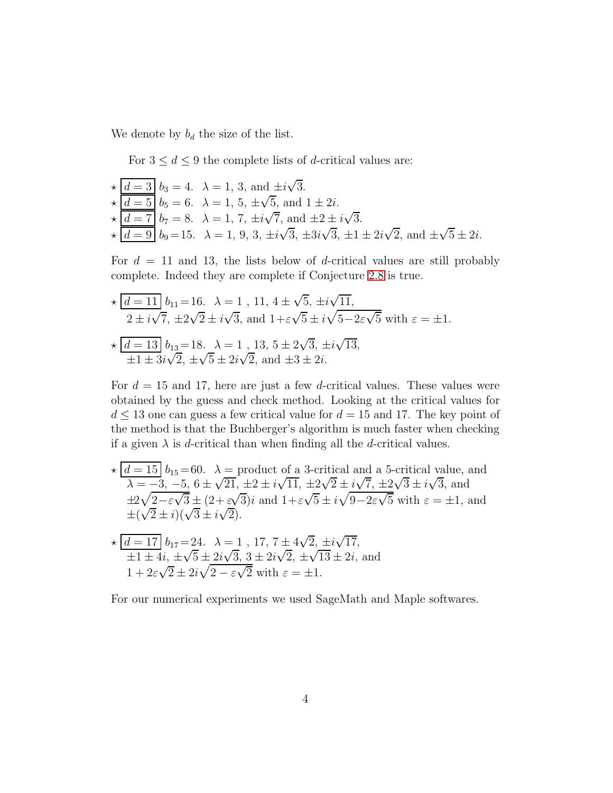We denote by  $b_d$  the size of the list.

For  $3 \leq d \leq 9$  the complete lists of *d*-critical values are:

$$
\star \underbrace{\frac{d=3}{d=5}}_{\star} b_3 = 4. \quad \lambda = 1, 3, \text{ and } \pm i\sqrt{3}.
$$
\n
$$
\star \underbrace{\frac{d=5}{d=7}}_{\star} b_5 = 6. \quad \lambda = 1, 5, \pm \sqrt{5}, \text{ and } 1 \pm 2i.
$$
\n
$$
\star \underbrace{\frac{d=7}{d=9}}_{\star} b_7 = 8. \quad \lambda = 1, 7, \pm i\sqrt{7}, \text{ and } \pm 2 \pm i\sqrt{3}.
$$
\n
$$
\star \underbrace{\frac{d=7}{d=9}}_{\star} b_9 = 15. \quad \lambda = 1, 9, 3, \pm i\sqrt{3}, \pm 3i\sqrt{3}, \pm 1 \pm 2i\sqrt{2}, \text{ and } \pm \sqrt{5} \pm 2i.
$$

For  $d = 11$  and 13, the lists below of d-critical values are still probably complete. Indeed they are complete if Conjecture [2.8](#page-6-0) is true.

$$
\star \frac{d = 11}{2 \pm i\sqrt{7}}, \pm 2\sqrt{2} \pm i\sqrt{3}, \text{ and } 1 + \varepsilon\sqrt{5}, \pm i\sqrt{11},
$$
  
\n
$$
2 \pm i\sqrt{7}, \pm 2\sqrt{2} \pm i\sqrt{3}, \text{ and } 1 + \varepsilon\sqrt{5} \pm i\sqrt{5 - 2\varepsilon\sqrt{5}} \text{ with } \varepsilon = \pm 1.
$$
  
\n
$$
\star \frac{d = 13}{4 \pm 3i\sqrt{2}}, \pm \sqrt{5} \pm 2i\sqrt{2}, \text{ and } \pm 3 \pm 2i.
$$

For  $d = 15$  and 17, here are just a few d-critical values. These values were obtained by the guess and check method. Looking at the critical values for  $d \leq 13$  one can guess a few critical value for  $d = 15$  and 17. The key point of the method is that the Buchberger's algorithm is much faster when checking if a given  $\lambda$  is d-critical than when finding all the d-critical values.

$$
\star \left[ \frac{d}{2} = 15 \right] b_{15} = 60. \quad \lambda = \text{product of a 3-critical and a 5-critical value, and}
$$
\n
$$
\lambda = -3, -5, 6 \pm \sqrt{21}, \pm 2 \pm i\sqrt{11}, \pm 2\sqrt{2} \pm i\sqrt{7}, \pm 2\sqrt{3} \pm i\sqrt{3}, \text{ and}
$$
\n
$$
\pm 2\sqrt{2} - \varepsilon\sqrt{3} \pm (2 + \varepsilon\sqrt{3})i \text{ and } 1 + \varepsilon\sqrt{5} \pm i\sqrt{9} - 2\varepsilon\sqrt{5} \text{ with } \varepsilon = \pm 1, \text{ and}
$$
\n
$$
\pm (\sqrt{2} \pm i)(\sqrt{3} \pm i\sqrt{2}).
$$
\n
$$
\star \left[ \frac{d}{2} = 17 \right] b_{17} = 24. \quad \lambda = 1, 17, 7 \pm 4\sqrt{2}, \pm i\sqrt{17},
$$
\n
$$
\pm 1 \pm 4i, \pm \sqrt{5} \pm 2i\sqrt{3}, 3 \pm 2i\sqrt{2}, \pm \sqrt{13} \pm 2i, \text{ and}
$$
\n
$$
1 + 2\varepsilon\sqrt{2} \pm 2i\sqrt{2} - \varepsilon\sqrt{2} \text{ with } \varepsilon = \pm 1.
$$

For our numerical experiments we used SageMath and Maple softwares.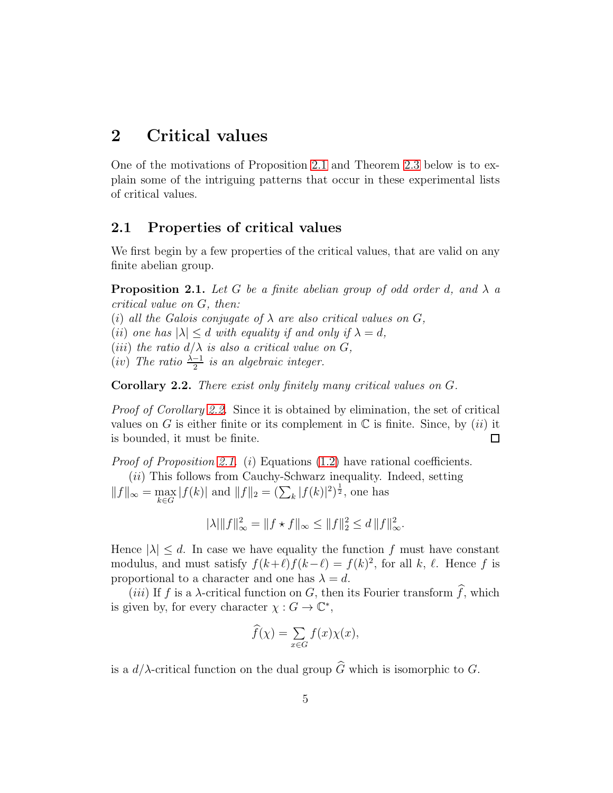# 2 Critical values

One of the motivations of Proposition [2.1](#page-4-0) and Theorem [2.3](#page-5-0) below is to explain some of the intriguing patterns that occur in these experimental lists of critical values.

## 2.1 Properties of critical values

We first begin by a few properties of the critical values, that are valid on any finite abelian group.

<span id="page-4-0"></span>**Proposition 2.1.** Let G be a finite abelian group of odd order d, and  $\lambda$  a *critical value on* G*, then:*

(i) all the Galois conjugate of  $\lambda$  are also critical values on  $G$ ,

(*ii*) *one has*  $|\lambda| \leq d$  *with equality if and only if*  $\lambda = d$ ,

(*iii*) *the ratio*  $d/\lambda$  *is also a critical value on*  $G$ *,* 

 $(iv)$  *The ratio*  $\frac{\lambda - 1}{2}$  *is an algebraic integer.* 

<span id="page-4-1"></span>Corollary 2.2. *There exist only finitely many critical values on* G*.*

*Proof of Corollary [2.2.](#page-4-1)* Since it is obtained by elimination, the set of critical values on G is either finite or its complement in  $\mathbb C$  is finite. Since, by *(ii)* it is bounded, it must be finite.  $\Box$ 

*Proof of Proposition [2.1.](#page-4-0)* (i) Equations [\(1.2\)](#page-1-0) have rational coefficients. (*ii*) This follows from Cauchy-Schwarz inequality. Indeed, setting  $||f||_{\infty} = \max_{k \in G} |f(k)|$  and  $||f||_2 = (\sum_k |f(k)|^2)^{\frac{1}{2}}$ , one has

$$
\|\lambda\| \|f\|_{\infty}^2 = \|f \star f\|_{\infty} \le \|f\|_{2}^2 \le d \|f\|_{\infty}^2.
$$

Hence  $|\lambda| \leq d$ . In case we have equality the function f must have constant modulus, and must satisfy  $f(k+\ell)f(k-\ell) = f(k)^2$ , for all k,  $\ell$ . Hence f is proportional to a character and one has  $\lambda = d$ .

(iii) If f is a  $\lambda$ -critical function on G, then its Fourier transform  $\widehat{f}$ , which is given by, for every character  $\chi: G \to \mathbb{C}^*$ ,

$$
\widehat{f}(\chi) = \sum_{x \in G} f(x) \chi(x),
$$

is a  $d/\lambda$ -critical function on the dual group  $\widehat{G}$  which is isomorphic to G.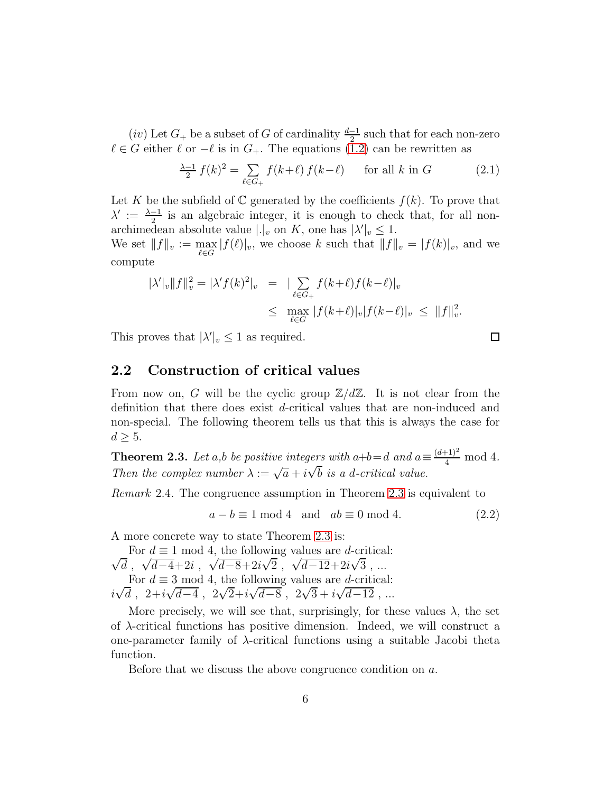$(iv)$  Let  $G_+$  be a subset of G of cardinality  $\frac{d-1}{2}$  such that for each non-zero  $\ell \in G$  either  $\ell$  or  $-\ell$  is in  $G_+$ . The equations [\(1.2\)](#page-1-0) can be rewritten as

$$
\frac{\lambda - 1}{2} f(k)^2 = \sum_{\ell \in G_+} f(k + \ell) f(k - \ell) \qquad \text{for all } k \text{ in } G \tag{2.1}
$$

Let K be the subfield of  $\mathbb C$  generated by the coefficients  $f(k)$ . To prove that  $\lambda' := \frac{\lambda - 1}{2}$  is an algebraic integer, it is enough to check that, for all nonarchimedean absolute value  $|.|_v$  on K, one has  $|\lambda'|_v \leq 1$ . We set  $||f||_v := \max_{\ell \in G} |f(\ell)|_v$ , we choose k such that  $||f||_v = |f(k)|_v$ , and we compute

$$
|\lambda'|_v \|f\|_v^2 = |\lambda' f(k)^2|_v = |\sum_{\ell \in G_+} f(k+\ell) f(k-\ell)|_v
$$
  
\$\leq\$ 
$$
\max_{\ell \in G} |f(k+\ell)|_v |f(k-\ell)|_v \leq \|f\|_v^2.
$$

This proves that  $|\lambda'|_v \leq 1$  as required.

# 2.2 Construction of critical values

From now on, G will be the cyclic group  $\mathbb{Z}/d\mathbb{Z}$ . It is not clear from the definition that there does exist d-critical values that are non-induced and non-special. The following theorem tells us that this is always the case for  $d \geq 5$ .

<span id="page-5-0"></span>**Theorem 2.3.** Let a,b be positive integers with a+b=d and  $a \equiv \frac{(d+1)^2}{4}$  mod 4. *Then the complex number*  $\lambda := \sqrt{a} + i\sqrt{b}$  *is a d-critical value.* 

*Remark* 2.4*.* The congruence assumption in Theorem [2.3](#page-5-0) is equivalent to

<span id="page-5-1"></span>
$$
a - b \equiv 1 \mod 4 \quad \text{and} \quad ab \equiv 0 \mod 4. \tag{2.2}
$$

A more concrete way to state Theorem [2.3](#page-5-0) is:

 $\sqrt{d}$ ,  $\sqrt{d-4}+2i$ ,  $\sqrt{d-8}+2i\sqrt{2}$ ,  $\sqrt{d-12}+2i\sqrt{3}$ , ... For  $d \equiv 1 \mod 4$ , the following values are *d*-critical: For  $d \equiv 3 \mod 4$ , the following values are *d*-critical:  $i\sqrt{d}$ ,  $2+i\sqrt{d-4}$ ,  $2\sqrt{2}+i\sqrt{d-8}$ ,  $2\sqrt{3}+i\sqrt{d-12}$ , ...

More precisely, we will see that, surprisingly, for these values  $\lambda$ , the set of  $\lambda$ -critical functions has positive dimension. Indeed, we will construct a one-parameter family of  $\lambda$ -critical functions using a suitable Jacobi theta function.

Before that we discuss the above congruence condition on a.

 $\Box$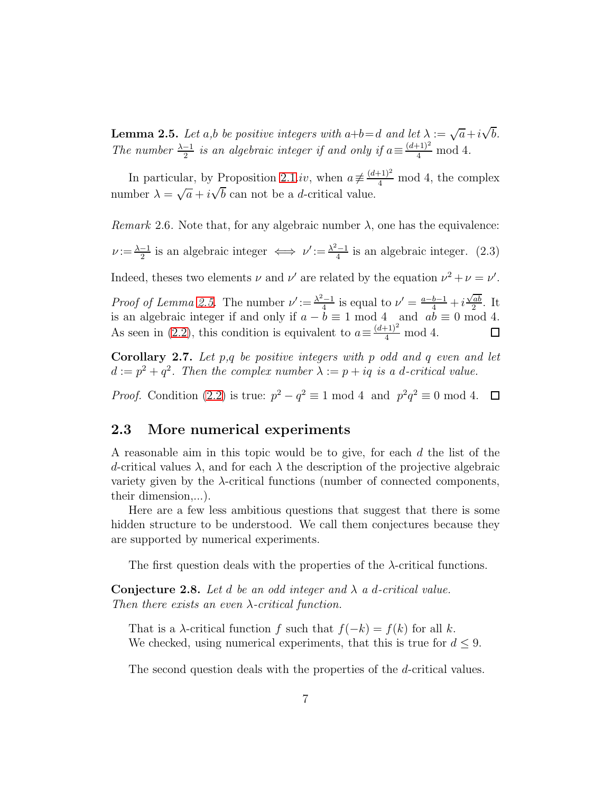<span id="page-6-1"></span>**Lemma 2.5.** *Let*  $a$ ,*b be positive integers with*  $a+b=d$  *and let*  $\lambda := \sqrt{a} + i\sqrt{b}$ *. The number*  $\frac{\lambda - 1}{2}$  *is an algebraic integer if and only if*  $a \equiv \frac{(d+1)^2}{4} \mod 4$ *.* 

In particular, by Proposition [2.1.](#page-4-0)iv, when  $a \neq \frac{(d+1)^2}{4}$  mod 4, the complex number  $\lambda = \sqrt{a} + i\sqrt{b}$  can not be a *d*-critical value.

*Remark* 2.6. Note that, for any algebraic number  $\lambda$ , one has the equivalence:  $\nu := \frac{\lambda - 1}{2}$  is an algebraic integer  $\iff \nu' := \frac{\lambda^2 - 1}{4}$  is an algebraic integer. (2.3) Indeed, theses two elements  $\nu$  and  $\nu'$  are related by the equation  $\nu^2 + \nu = \nu'$ .

*Proof of Lemma [2.5.](#page-6-1)* The number  $\nu' := \frac{\lambda^2 - 1}{4}$  is equal to  $\nu' = \frac{a - b - 1}{4} + i \frac{\sqrt{ab}}{2}$  $\frac{ab}{2}$ . It is an algebraic integer if and only if  $a - b \equiv 1 \mod 4$  and  $ab \equiv 0 \mod 4$ . As seen in [\(2.2\)](#page-5-1), this condition is equivalent to  $a \equiv \frac{(d+1)^2}{4} \mod 4$ .  $\Box$ 

Corollary 2.7. *Let* p*,*q *be positive integers with* p *odd and* q *even and let*  $d := p^2 + q^2$ . Then the complex number  $\lambda := p + iq$  is a d-critical value.

*Proof.* Condition [\(2.2\)](#page-5-1) is true:  $p^2 - q^2 \equiv 1 \mod 4$  and  $p^2q^2 \equiv 0 \mod 4$ .

### 2.3 More numerical experiments

A reasonable aim in this topic would be to give, for each d the list of the d-critical values  $\lambda$ , and for each  $\lambda$  the description of the projective algebraic variety given by the  $\lambda$ -critical functions (number of connected components, their dimension,...).

Here are a few less ambitious questions that suggest that there is some hidden structure to be understood. We call them conjectures because they are supported by numerical experiments.

The first question deals with the properties of the  $\lambda$ -critical functions.

<span id="page-6-0"></span>Conjecture 2.8. *Let* d *be an odd integer and* λ *a* d*-critical value. Then there exists an even* λ*-critical function.*

That is a  $\lambda$ -critical function f such that  $f(-k) = f(k)$  for all k. We checked, using numerical experiments, that this is true for  $d \leq 9$ .

The second question deals with the properties of the d-critical values.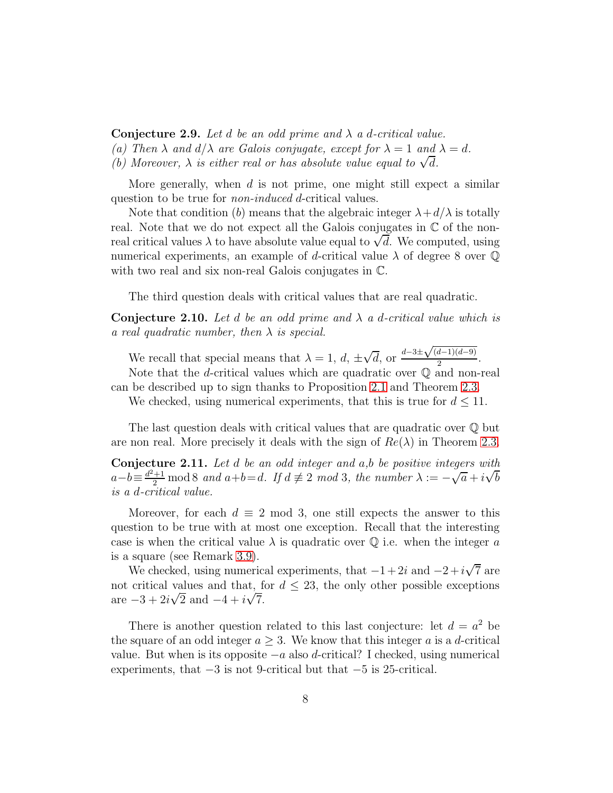Conjecture 2.9. *Let* d *be an odd prime and* λ *a* d*-critical value. (a)* Then  $\lambda$  *and*  $d/\lambda$  *are Galois conjugate, except for*  $\lambda = 1$  *and*  $\lambda = d$ *.* (b) Moreover,  $\lambda$  is either real or has absolute value equal to  $\sqrt{d}$ .

More generally, when  $d$  is not prime, one might still expect a similar question to be true for *non-induced* d-critical values.

Note that condition (b) means that the algebraic integer  $\lambda + d/\lambda$  is totally real. Note that we do not expect all the Galois conjugates in  $\mathbb C$  of the nonreal critical values  $\lambda$  to have absolute value equal to  $\sqrt{d}$ . We computed, using numerical experiments, an example of d-critical value  $\lambda$  of degree 8 over  $\mathbb Q$ with two real and six non-real Galois conjugates in  $\mathbb{C}$ .

The third question deals with critical values that are real quadratic.

Conjecture 2.10. *Let* d *be an odd prime and* λ *a* d*-critical value which is a real quadratic number, then* λ *is special.*

We recall that special means that  $\lambda = 1, d, \pm \sqrt{d}$ , or  $\frac{d-3\pm\sqrt{(d-1)(d-9)}}{2}$  $\frac{a-1}{2}$ .

Note that the d-critical values which are quadratic over  $\mathbb Q$  and non-real can be described up to sign thanks to Proposition [2.1](#page-4-0) and Theorem [2.3.](#page-5-0)

We checked, using numerical experiments, that this is true for  $d \leq 11$ .

The last question deals with critical values that are quadratic over Q but are non real. More precisely it deals with the sign of  $Re(\lambda)$  in Theorem [2.3.](#page-5-0)

Conjecture 2.11. *Let* d *be an odd integer and* a*,*b *be positive integers with*  $a-b \equiv \frac{d^2+1}{2} \mod 8$  *and*  $a+b=d$ . If  $d \not\equiv 2 \mod 3$ , the number  $\lambda := -\sqrt{a} + i\sqrt{b}$ *is a* d*-critical value.*

Moreover, for each  $d \equiv 2 \mod 3$ , one still expects the answer to this question to be true with at most one exception. Recall that the interesting case is when the critical value  $\lambda$  is quadratic over Q i.e. when the integer a is a square (see Remark [3.9\)](#page-11-1).

We checked, using numerical experiments, that  $-1+2i$  and  $-2+i\sqrt{7}$  are not critical values and that, for  $d \leq 23$ , the only other possible exceptions are  $-3 + 2i\sqrt{2}$  and  $-4 + i\sqrt{7}$ .

There is another question related to this last conjecture: let  $d = a^2$  be the square of an odd integer  $a \geq 3$ . We know that this integer a is a d-critical value. But when is its opposite  $-a$  also d-critical? I checked, using numerical experiments, that  $-3$  is not 9-critical but that  $-5$  is 25-critical.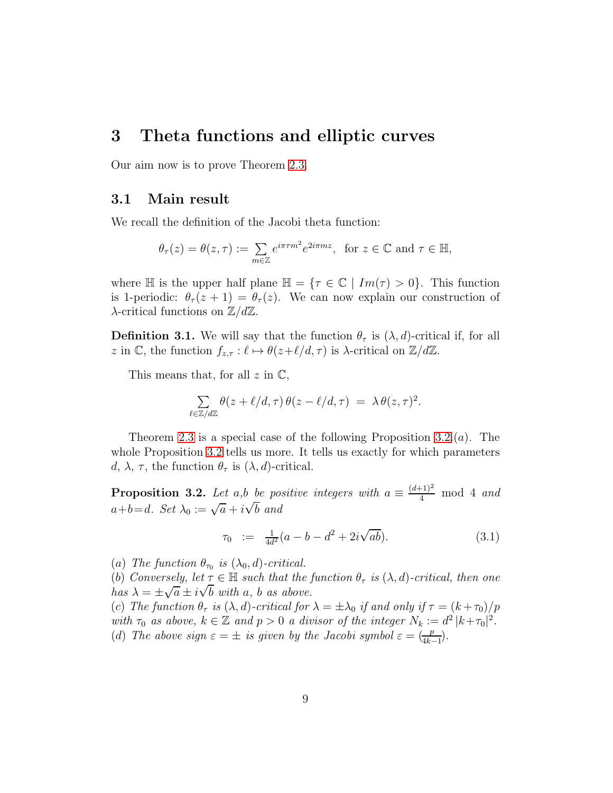# 3 Theta functions and elliptic curves

Our aim now is to prove Theorem [2.3.](#page-5-0)

#### 3.1 Main result

We recall the definition of the Jacobi theta function:

$$
\theta_{\tau}(z) = \theta(z, \tau) := \sum_{m \in \mathbb{Z}} e^{i\pi \tau m^2} e^{2i\pi mz}
$$
, for  $z \in \mathbb{C}$  and  $\tau \in \mathbb{H}$ ,

where  $\mathbb H$  is the upper half plane  $\mathbb H = \{ \tau \in \mathbb C \mid Im(\tau) > 0 \}.$  This function is 1-periodic:  $\theta_{\tau}(z+1) = \theta_{\tau}(z)$ . We can now explain our construction of  $\lambda$ -critical functions on  $\mathbb{Z}/d\mathbb{Z}$ .

**Definition 3.1.** We will say that the function  $\theta_{\tau}$  is  $(\lambda, d)$ -critical if, for all z in C, the function  $f_{z,\tau}: \ell \mapsto \theta(z+\ell/d, \tau)$  is  $\lambda$ -critical on  $\mathbb{Z}/d\mathbb{Z}$ .

This means that, for all  $z$  in  $\mathbb{C}$ ,

$$
\sum_{\ell \in \mathbb{Z}/d\mathbb{Z}} \theta(z + \ell/d, \tau) \, \theta(z - \ell/d, \tau) \ = \ \lambda \, \theta(z, \tau)^2.
$$

Theorem [2.3](#page-5-0) is a special case of the following Proposition [3.2.](#page-8-0) $(a)$ . The whole Proposition [3.2](#page-8-0) tells us more. It tells us exactly for which parameters d,  $\lambda$ ,  $\tau$ , the function  $\theta_{\tau}$  is  $(\lambda, d)$ -critical.

<span id="page-8-0"></span>**Proposition 3.2.** Let a,b be positive integers with  $a \equiv \frac{(d+1)^2}{4} \mod 4$  and  $a+b=d$ *. Set*  $\lambda_0 := \sqrt{a} + i\sqrt{b}$  and

$$
\tau_0 := \frac{1}{4d^2}(a - b - d^2 + 2i\sqrt{ab}). \tag{3.1}
$$

(a) The function  $\theta_{\tau_0}$  is  $(\lambda_0, d)$ -critical.

(b) *Conversely, let*  $\tau \in \mathbb{H}$  *such that the function*  $\theta_{\tau}$  *is*  $(\lambda, d)$ *-critical, then one*  $\int$ *has*  $\lambda = \pm \sqrt{a} \pm i\sqrt{b}$  with a, b as above.

(c) *The function*  $\theta_{\tau}$  *is*  $(\lambda, d)$ *-critical for*  $\lambda = \pm \lambda_0$  *if and only if*  $\tau = (k + \tau_0)/p$ with  $\tau_0$  *as above,*  $k \in \mathbb{Z}$  *and*  $p > 0$  *a divisor of the integer*  $N_k := d^2 |k + \tau_0|^2$ . (d) The above sign  $\varepsilon = \pm$  is given by the Jacobi symbol  $\varepsilon = \frac{p}{4k-1}$ .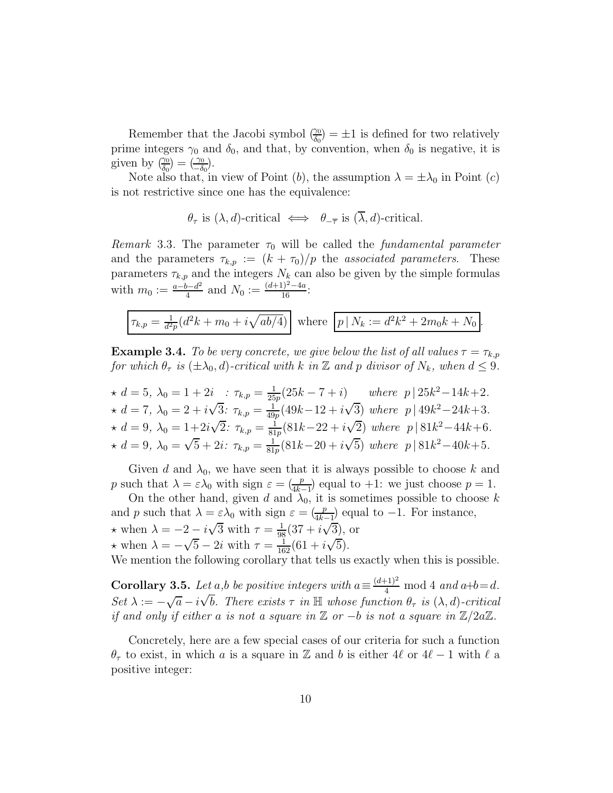Remember that the Jacobi symbol  $\left(\frac{\gamma_0}{\delta_0}\right) = \pm 1$  is defined for two relatively prime integers  $\gamma_0$  and  $\delta_0$ , and that, by convention, when  $\delta_0$  is negative, it is given by  $\left(\frac{\gamma_0}{\delta_0}\right) = \left(\frac{\gamma_0}{-\delta_0}\right)$ .

Note also that, in view of Point (b), the assumption  $\lambda = \pm \lambda_0$  in Point (c) is not restrictive since one has the equivalence:

$$
\theta_{\tau}
$$
 is  $(\lambda, d)$ -critical  $\iff \theta_{-\overline{\tau}}$  is  $(\overline{\lambda}, d)$ -critical.

*Remark* 3.3. The parameter  $\tau_0$  will be called the *fundamental parameter* and the parameters  $\tau_{k,p} := (k + \tau_0)/p$  the *associated parameters*. These parameters  $\tau_{k,p}$  and the integers  $N_k$  can also be given by the simple formulas with  $m_0 := \frac{a - b - d^2}{4}$  $\frac{b-d^2}{4}$  and  $N_0 := \frac{(d+1)^2-4a}{16}$ :

$$
\boxed{\tau_{k,p} = \frac{1}{d^2p}(d^2k + m_0 + i\sqrt{ab/4})}
$$
 where  $\boxed{p \mid N_k := d^2k^2 + 2m_0k + N_0}$ .

**Example 3.4.** *To be very concrete, we give below the list of all values*  $\tau = \tau_{k,p}$ *for which*  $\theta_{\tau}$  *is* ( $\pm \lambda_0$ , *d*)*-critical with* k *in* Z *and* p *divisor of*  $N_k$ *, when*  $d \leq 9$ *.* 

$$
\star d = 5, \ \lambda_0 = 1 + 2i \quad : \ \tau_{k,p} = \frac{1}{25p}(25k - 7 + i) \quad \text{where} \ \ p | 25k^2 - 14k + 2.
$$
\n
$$
\star d = 7, \ \lambda_0 = 2 + i\sqrt{3} : \ \tau_{k,p} = \frac{1}{49p}(49k - 12 + i\sqrt{3}) \text{ where } \ p | 49k^2 - 24k + 3.
$$
\n
$$
\star d = 9, \ \lambda_0 = 1 + 2i\sqrt{2} : \ \tau_{k,p} = \frac{1}{81p}(81k - 22 + i\sqrt{2}) \text{ where } \ p | 81k^2 - 44k + 6.
$$
\n
$$
\star d = 9, \ \lambda_0 = \sqrt{5} + 2i : \ \tau_{k,p} = \frac{1}{81p}(81k - 20 + i\sqrt{5}) \text{ where } \ p | 81k^2 - 40k + 5.
$$

Given d and  $\lambda_0$ , we have seen that it is always possible to choose k and p such that  $\lambda = \varepsilon \lambda_0$  with sign  $\varepsilon = \frac{p}{4k-1}$  equal to +1: we just choose  $p = 1$ .

On the other hand, given d and  $\lambda_0$ , it is sometimes possible to choose k and p such that  $\lambda = \varepsilon \lambda_0$  with sign  $\varepsilon = \frac{p}{4k-1}$  equal to -1. For instance,  $\frac{4k-1}{5}$  $\star$  when  $\lambda = -2 - i\sqrt{3}$  with  $\tau = \frac{1}{98}(37 + i\sqrt{3})$ , or  $\star$  when  $\lambda = -\sqrt{5} - 2i$  with  $\tau = \frac{1}{162}(61 + i\sqrt{5}).$ 

We mention the following corollary that tells us exactly when this is possible.

**Corollary 3.5.** *Let*  $a$ ,*b be positive integers with*  $a \equiv \frac{(d+1)^2}{4} \mod 4$  *and*  $a+b=d$ *.*  $Set \lambda := -\sqrt{a} - i\sqrt{b}$ . There exists  $\tau$  *in*  $\mathbb{H}$  whose function  $\theta_{\tau}$  *is*  $(\lambda, d)$ -critical *if and only if either a is not a square in*  $\mathbb{Z}$  *or* −*b is not a square in*  $\mathbb{Z}/2a\mathbb{Z}$ *.* 

Concretely, here are a few special cases of our criteria for such a function  $\theta_{\tau}$  to exist, in which a is a square in Z and b is either 4 $\ell$  or 4 $\ell$  – 1 with  $\ell$  a positive integer: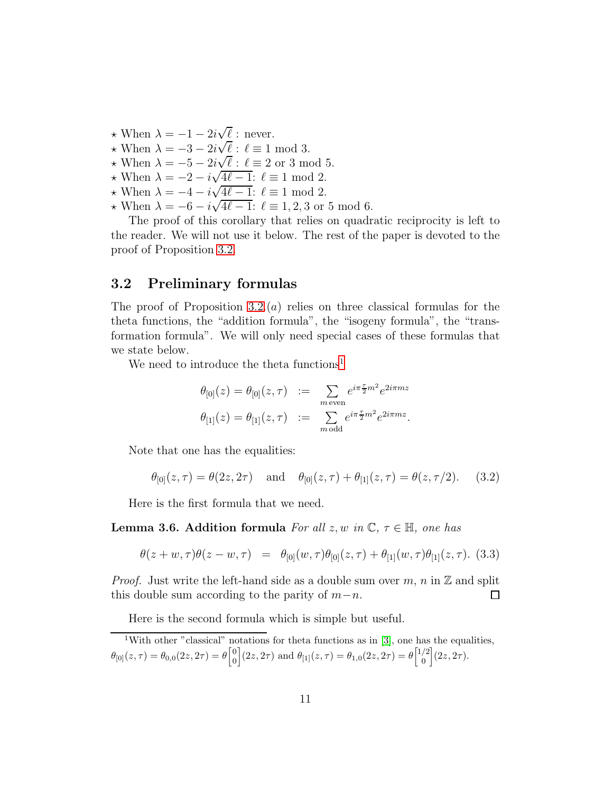- $\star$  When  $\lambda = -1 2i\sqrt{\ell}$ : never.
- $\star$  When  $\lambda = -3 2i\sqrt{\ell}$ :  $\ell \equiv 1 \mod 3$ .
- $\star$  When  $\lambda = -5 2i\sqrt{\ell}$ :  $\ell \equiv 2$  or 3 mod 5.
- $\star$  When  $\lambda = -2 i\sqrt{4\ell 1}$ :  $\ell \equiv 1 \mod 2$ .
- $\star$  When  $\lambda = -4 i\sqrt{4\ell 1}$ :  $\ell \equiv 1 \mod 2$ .
- $\star$  When  $\lambda = -6 i\sqrt{4\ell 1}$ :  $\ell \equiv 1, 2, 3$  or 5 mod 6.

The proof of this corollary that relies on quadratic reciprocity is left to the reader. We will not use it below. The rest of the paper is devoted to the proof of Proposition [3.2.](#page-8-0)

#### 3.2 Preliminary formulas

The proof of Proposition [3.2.](#page-8-0) $(a)$  relies on three classical formulas for the theta functions, the "addition formula", the "isogeny formula", the "transformation formula". We will only need special cases of these formulas that we state below.

We need to introduce the theta functions<sup>[1](#page-10-0)</sup>

$$
\theta_{[0]}(z) = \theta_{[0]}(z, \tau) := \sum_{m \text{ even}} e^{i\pi \frac{\tau}{2}m^2} e^{2i\pi mz}
$$
  

$$
\theta_{[1]}(z) = \theta_{[1]}(z, \tau) := \sum_{m \text{ odd}} e^{i\pi \frac{\tau}{2}m^2} e^{2i\pi mz}.
$$

Note that one has the equalities:

<span id="page-10-1"></span>
$$
\theta_{[0]}(z,\tau) = \theta(2z,2\tau)
$$
 and  $\theta_{[0]}(z,\tau) + \theta_{[1]}(z,\tau) = \theta(z,\tau/2).$  (3.2)

Here is the first formula that we need.

**Lemma 3.6. Addition formula** *For all*  $z, w$  *in*  $\mathbb{C}, \tau \in \mathbb{H}$ *, one has* 

<span id="page-10-2"></span>
$$
\theta(z+w,\tau)\theta(z-w,\tau) = \theta_{[0]}(w,\tau)\theta_{[0]}(z,\tau) + \theta_{[1]}(w,\tau)\theta_{[1]}(z,\tau). \tag{3.3}
$$

*Proof.* Just write the left-hand side as a double sum over  $m, n$  in  $\mathbb{Z}$  and split this double sum according to the parity of  $m-n$ .  $\Box$ 

Here is the second formula which is simple but useful.

<span id="page-10-0"></span><sup>&</sup>lt;sup>1</sup>With other "classical" notations for theta functions as in [\[3\]](#page-19-3), one has the equalities,  $\theta_{[0]}(z,\tau)=\theta_{0,0}(2z,2\tau)=\theta{0\brack 0}$ 0  $\int (2z, 2\tau)$  and  $\theta_{[1]}(z, \tau) = \theta_{1,0}(2z, 2\tau) = \theta \begin{bmatrix} 1/2 \\ 0 \end{bmatrix}$ 0  $\bigl[ (2z, 2\tau) .$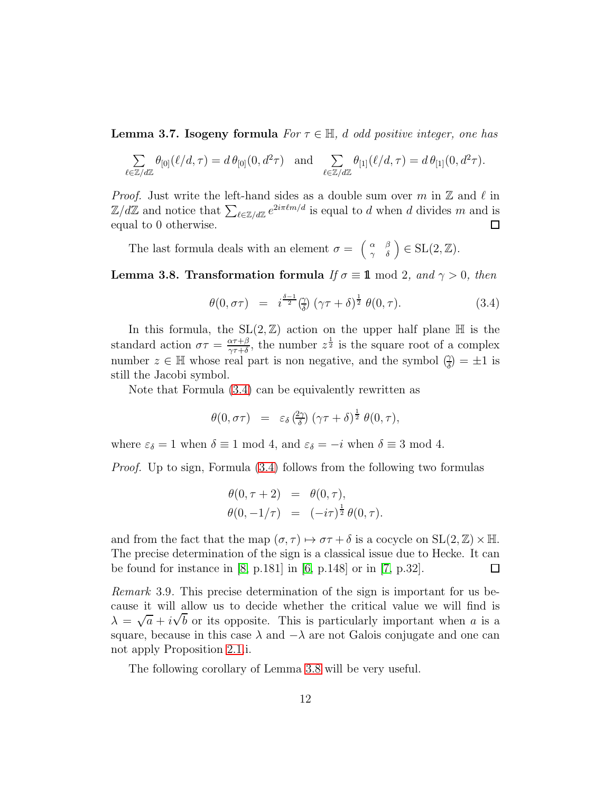Lemma 3.7. Isogeny formula *For* τ ∈ H*,* d *odd positive integer, one has*

$$
\sum_{\ell \in \mathbb{Z}/d\mathbb{Z}} \theta_{[0]}(\ell/d, \tau) = d \theta_{[0]}(0, d^2 \tau) \text{ and } \sum_{\ell \in \mathbb{Z}/d\mathbb{Z}} \theta_{[1]}(\ell/d, \tau) = d \theta_{[1]}(0, d^2 \tau).
$$

*Proof.* Just write the left-hand sides as a double sum over m in  $\mathbb{Z}$  and  $\ell$  in  $\mathbb{Z}/d\mathbb{Z}$  and notice that  $\sum_{\ell \in \mathbb{Z}/d\mathbb{Z}} e^{2i\pi \ell m/d}$  is equal to d when d divides m and is equal to 0 otherwise.  $\Box$ 

The last formula deals with an element  $\sigma = \begin{pmatrix} \alpha & \beta \\ \gamma & \delta \end{pmatrix} \in SL(2, \mathbb{Z}).$ 

<span id="page-11-0"></span>**Lemma 3.8. Transformation formula** *If*  $\sigma \equiv 1 \mod 2$ , and  $\gamma > 0$ , then

<span id="page-11-2"></span>
$$
\theta(0,\sigma\tau) = i^{\frac{\delta-1}{2}}(\frac{\gamma}{\delta})(\gamma\tau+\delta)^{\frac{1}{2}}\theta(0,\tau). \tag{3.4}
$$

In this formula, the  $SL(2, \mathbb{Z})$  action on the upper half plane  $\mathbb{H}$  is the standard action  $\sigma\tau = \frac{\alpha\tau+\beta}{\alpha\tau+\delta}$  $\frac{\alpha \tau + \beta}{\gamma \tau + \delta}$ , the number  $z^{\frac{1}{2}}$  is the square root of a complex number  $z \in \mathbb{H}$  whose real part is non negative, and the symbol  $(\frac{\gamma}{\delta}) = \pm 1$  is still the Jacobi symbol.

Note that Formula [\(3.4\)](#page-11-2) can be equivalently rewritten as

$$
\theta(0,\sigma\tau) = \varepsilon_{\delta} \left(\frac{2\gamma}{\delta}\right) (\gamma\tau + \delta)^{\frac{1}{2}} \theta(0,\tau),
$$

where  $\varepsilon_{\delta} = 1$  when  $\delta \equiv 1 \mod 4$ , and  $\varepsilon_{\delta} = -i$  when  $\delta \equiv 3 \mod 4$ .

*Proof.* Up to sign, Formula  $(3.4)$  follows from the following two formulas

$$
\begin{array}{rcl}\n\theta(0, \tau + 2) & = & \theta(0, \tau), \\
\theta(0, -1/\tau) & = & (-i\tau)^{\frac{1}{2}} \theta(0, \tau).\n\end{array}
$$

and from the fact that the map  $(\sigma, \tau) \mapsto \sigma \tau + \delta$  is a cocycle on  $SL(2, \mathbb{Z}) \times \mathbb{H}$ . The precise determination of the sign is a classical issue due to Hecke. It can be found for instance in [\[8,](#page-19-4) p.181] in [\[6,](#page-19-5) p.148] or in [\[7,](#page-19-6) p.32].  $\Box$ 

<span id="page-11-1"></span>*Remark* 3.9*.* This precise determination of the sign is important for us because it will allow us to decide whether the critical value we will find is  $\lambda = \sqrt{a} + i\sqrt{b}$  or its opposite. This is particularly important when a is a square, because in this case  $\lambda$  and  $-\lambda$  are not Galois conjugate and one can not apply Proposition [2.1.](#page-4-0)i.

The following corollary of Lemma [3.8](#page-11-0) will be very useful.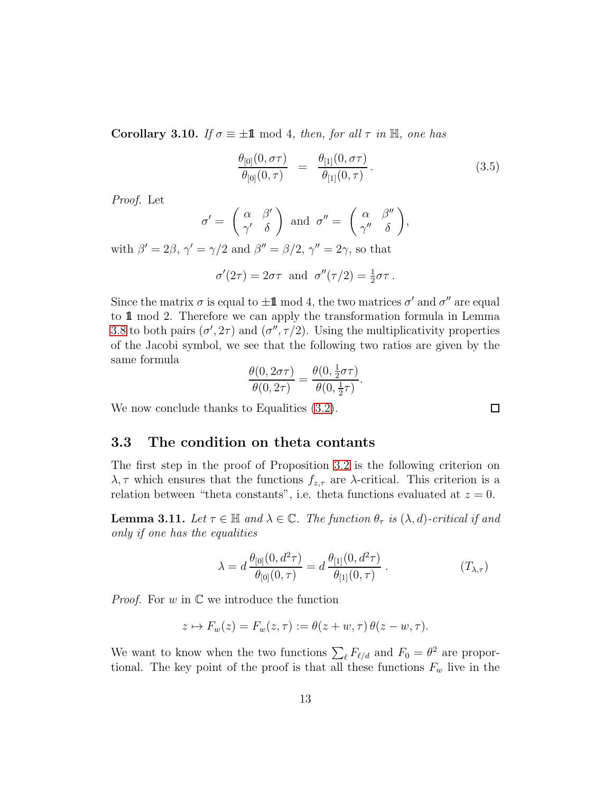<span id="page-12-0"></span>**Corollary 3.10.** *If*  $\sigma \equiv \pm \mathbf{1} \mod 4$ , *then, for all*  $\tau$  *in*  $\mathbb{H}$ *, one has* 

$$
\frac{\theta_{[0]}(0,\sigma\tau)}{\theta_{[0]}(0,\tau)} = \frac{\theta_{[1]}(0,\sigma\tau)}{\theta_{[1]}(0,\tau)}.
$$
\n(3.5)

*Proof.* Let

$$
\sigma' = \begin{pmatrix} \alpha & \beta' \\ \gamma' & \delta \end{pmatrix} \text{ and } \sigma'' = \begin{pmatrix} \alpha & \beta'' \\ \gamma'' & \delta \end{pmatrix},
$$

with  $\beta' = 2\beta$ ,  $\gamma' = \gamma/2$  and  $\beta'' = \beta/2$ ,  $\gamma'' = 2\gamma$ , so that

$$
\sigma'(2\tau) = 2\sigma\tau
$$
 and  $\sigma''(\tau/2) = \frac{1}{2}\sigma\tau$ .

Since the matrix  $\sigma$  is equal to  $\pm \mathbf{1}$  mod 4, the two matrices  $\sigma'$  and  $\sigma''$  are equal to 1 mod 2. Therefore we can apply the transformation formula in Lemma [3.8](#page-11-0) to both pairs  $(\sigma', 2\tau)$  and  $(\sigma'', \tau/2)$ . Using the multiplicativity properties of the Jacobi symbol, we see that the following two ratios are given by the same formula

$$
\frac{\theta(0,2\sigma\tau)}{\theta(0,2\tau)} = \frac{\theta(0,\frac{1}{2}\sigma\tau)}{\theta(0,\frac{1}{2}\tau)}.
$$

We now conclude thanks to Equalities  $(3.2)$ .

### 3.3 The condition on theta contants

The first step in the proof of Proposition [3.2](#page-8-0) is the following criterion on  $\lambda, \tau$  which ensures that the functions  $f_{z,\tau}$  are  $\lambda$ -critical. This criterion is a relation between "theta constants", i.e. theta functions evaluated at  $z = 0$ .

<span id="page-12-1"></span>**Lemma 3.11.** Let  $\tau \in \mathbb{H}$  and  $\lambda \in \mathbb{C}$ . The function  $\theta_{\tau}$  is  $(\lambda, d)$ -critical if and *only if one has the equalities*

$$
\lambda = d \frac{\theta_{[0]}(0, d^2 \tau)}{\theta_{[0]}(0, \tau)} = d \frac{\theta_{[1]}(0, d^2 \tau)}{\theta_{[1]}(0, \tau)} .
$$
 (T<sub>λ,τ</sub>)

*Proof.* For  $w$  in  $\mathbb C$  we introduce the function

$$
z \mapsto F_w(z) = F_w(z, \tau) := \theta(z + w, \tau) \theta(z - w, \tau).
$$

We want to know when the two functions  $\sum_{\ell} F_{\ell/d}$  and  $F_0 = \theta^2$  are proportional. The key point of the proof is that all these functions  $F_w$  live in the

 $\Box$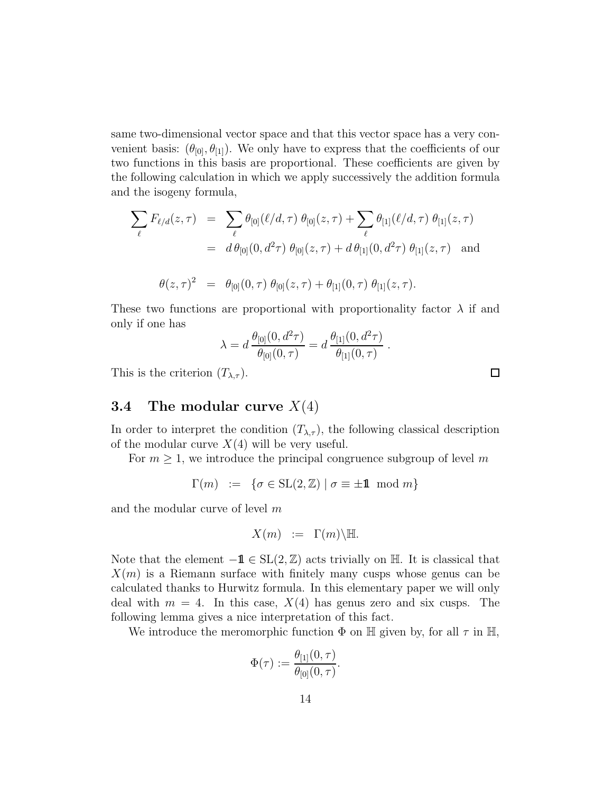same two-dimensional vector space and that this vector space has a very convenient basis:  $(\theta_{[0]}, \theta_{[1]})$ . We only have to express that the coefficients of our two functions in this basis are proportional. These coefficients are given by the following calculation in which we apply successively the addition formula and the isogeny formula,

$$
\sum_{\ell} F_{\ell/d}(z,\tau) = \sum_{\ell} \theta_{[0]}(\ell/d,\tau) \theta_{[0]}(z,\tau) + \sum_{\ell} \theta_{[1]}(\ell/d,\tau) \theta_{[1]}(z,\tau)
$$
  
\n
$$
= d \theta_{[0]}(0,d^2\tau) \theta_{[0]}(z,\tau) + d \theta_{[1]}(0,d^2\tau) \theta_{[1]}(z,\tau) \text{ and}
$$
  
\n
$$
\theta(z,\tau)^2 = \theta_{[0]}(0,\tau) \theta_{[0]}(z,\tau) + \theta_{[1]}(0,\tau) \theta_{[1]}(z,\tau).
$$

These two functions are proportional with proportionality factor  $\lambda$  if and only if one has

$$
\lambda = d \frac{\theta_{[0]}(0, d^2 \tau)}{\theta_{[0]}(0, \tau)} = d \frac{\theta_{[1]}(0, d^2 \tau)}{\theta_{[1]}(0, \tau)}.
$$

This is the criterion  $(T_{\lambda,\tau})$ .

### **3.4** The modular curve  $X(4)$

In order to interpret the condition  $(T_{\lambda,\tau})$ , the following classical description of the modular curve  $X(4)$  will be very useful.

For  $m \geq 1$ , we introduce the principal congruence subgroup of level m

$$
\Gamma(m) \ := \ \{ \sigma \in \mathrm{SL}(2,\mathbb{Z}) \mid \sigma \equiv \pm \mathbb{1} \mod m \}
$$

and the modular curve of level m

$$
X(m) := \Gamma(m) \backslash \mathbb{H}.
$$

Note that the element  $-\mathbf{1} \in SL(2, \mathbb{Z})$  acts trivially on H. It is classical that  $X(m)$  is a Riemann surface with finitely many cusps whose genus can be calculated thanks to Hurwitz formula. In this elementary paper we will only deal with  $m = 4$ . In this case,  $X(4)$  has genus zero and six cusps. The following lemma gives a nice interpretation of this fact.

We introduce the meromorphic function  $\Phi$  on  $\mathbb H$  given by, for all  $\tau$  in  $\mathbb H$ ,

$$
\Phi(\tau) := \frac{\theta_{[1]}(0,\tau)}{\theta_{[0]}(0,\tau)}.
$$

 $\Box$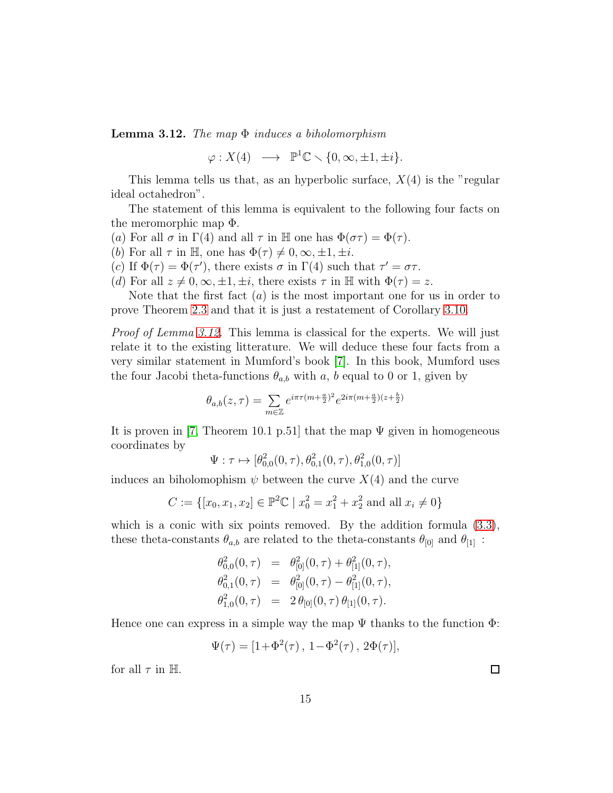<span id="page-14-0"></span>Lemma 3.12. *The map* Φ *induces a biholomorphism*

 $\varphi: X(4) \longrightarrow \mathbb{P}^1\mathbb{C} \setminus \{0, \infty, \pm 1, \pm i\}.$ 

This lemma tells us that, as an hyperbolic surface,  $X(4)$  is the "regular" ideal octahedron".

The statement of this lemma is equivalent to the following four facts on the meromorphic map Φ.

- (a) For all  $\sigma$  in  $\Gamma(4)$  and all  $\tau$  in H one has  $\Phi(\sigma\tau) = \Phi(\tau)$ .
- (b) For all  $\tau$  in H, one has  $\Phi(\tau) \neq 0, \infty, \pm 1, \pm i$ .
- (c) If  $\Phi(\tau) = \Phi(\tau')$ , there exists  $\sigma$  in  $\Gamma(4)$  such that  $\tau' = \sigma \tau$ .
- (d) For all  $z \neq 0, \infty, \pm 1, \pm i$ , there exists  $\tau$  in H with  $\Phi(\tau) = z$ .

Note that the first fact  $(a)$  is the most important one for us in order to prove Theorem [2.3](#page-5-0) and that it is just a restatement of Corollary [3.10.](#page-12-0)

*Proof of Lemma [3.12.](#page-14-0)* This lemma is classical for the experts. We will just relate it to the existing litterature. We will deduce these four facts from a very similar statement in Mumford's book [\[7\]](#page-19-6). In this book, Mumford uses the four Jacobi theta-functions  $\theta_{a,b}$  with a, b equal to 0 or 1, given by

$$
\theta_{a,b}(z,\tau)=\sum_{m\in\mathbb{Z}}e^{i\pi\tau(m+\frac{a}{2})^2}e^{2i\pi(m+\frac{a}{2})(z+\frac{b}{2})}
$$

It is proven in [\[7,](#page-19-6) Theorem 10.1 p.51] that the map  $\Psi$  given in homogeneous coordinates by

$$
\Psi: \tau \mapsto [\theta_{0,0}^2(0,\tau), \theta_{0,1}^2(0,\tau), \theta_{1,0}^2(0,\tau)]
$$

induces an biholomophism  $\psi$  between the curve  $X(4)$  and the curve

$$
C := \{ [x_0, x_1, x_2] \in \mathbb{P}^2 \mathbb{C} \mid x_0^2 = x_1^2 + x_2^2 \text{ and all } x_i \neq 0 \}
$$

which is a conic with six points removed. By the addition formula  $(3.3)$ , these theta-constants  $\theta_{a,b}$  are related to the theta-constants  $\theta_{[0]}$  and  $\theta_{[1]}$ :

$$
\begin{array}{rcl}\n\theta_{0,0}^2(0,\tau) & = & \theta_{[0]}^2(0,\tau) + \theta_{[1]}^2(0,\tau), \\
\theta_{0,1}^2(0,\tau) & = & \theta_{[0]}^2(0,\tau) - \theta_{[1]}^2(0,\tau), \\
\theta_{1,0}^2(0,\tau) & = & 2\,\theta_{[0]}(0,\tau)\,\theta_{[1]}(0,\tau).\n\end{array}
$$

Hence one can express in a simple way the map  $\Psi$  thanks to the function  $\Phi$ :

$$
\Psi(\tau) = [1 + \Phi^2(\tau), 1 - \Phi^2(\tau), 2\Phi(\tau)],
$$

for all  $\tau$  in H.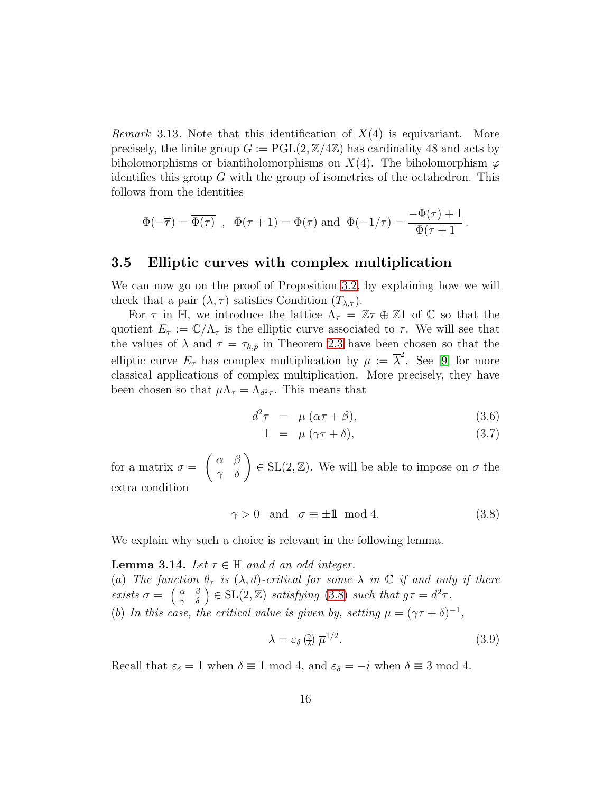*Remark* 3.13*.* Note that this identification of X(4) is equivariant. More precisely, the finite group  $G := \text{PGL}(2, \mathbb{Z}/4\mathbb{Z})$  has cardinality 48 and acts by biholomorphisms or biantiholomorphisms on  $X(4)$ . The biholomorphism  $\varphi$ identifies this group  $G$  with the group of isometries of the octahedron. This follows from the identities

$$
\Phi(-\overline{\tau}) = \overline{\Phi(\tau)} \text{ , } \Phi(\tau+1) = \Phi(\tau) \text{ and } \Phi(-1/\tau) = \frac{-\Phi(\tau)+1}{\Phi(\tau+1)}.
$$

#### 3.5 Elliptic curves with complex multiplication

We can now go on the proof of Proposition [3.2,](#page-8-0) by explaining how we will check that a pair  $(\lambda, \tau)$  satisfies Condition  $(T_{\lambda,\tau})$ .

For  $\tau$  in H, we introduce the lattice  $\Lambda_{\tau} = \mathbb{Z}\tau \oplus \mathbb{Z}1$  of  $\mathbb{C}$  so that the quotient  $E_{\tau} := \mathbb{C}/\Lambda_{\tau}$  is the elliptic curve associated to  $\tau$ . We will see that the values of  $\lambda$  and  $\tau = \tau_{k,p}$  in Theorem [2.3](#page-5-0) have been chosen so that the elliptic curve  $E_{\tau}$  has complex multiplication by  $\mu := \overline{\lambda}^2$ . See [\[9\]](#page-19-7) for more classical applications of complex multiplication. More precisely, they have been chosen so that  $\mu \Lambda_{\tau} = \Lambda_{d^2 \tau}$ . This means that

<span id="page-15-2"></span>
$$
d^2\tau = \mu (\alpha \tau + \beta), \tag{3.6}
$$

$$
1 = \mu (\gamma \tau + \delta), \tag{3.7}
$$

for a matrix  $\sigma =$  $\begin{pmatrix} \alpha & \beta \\ \gamma & \delta \end{pmatrix} \in SL(2, \mathbb{Z})$ . We will be able to impose on  $\sigma$  the extra condition

<span id="page-15-0"></span>
$$
\gamma > 0 \quad \text{and} \quad \sigma \equiv \pm \mathbf{1} \mod 4. \tag{3.8}
$$

We explain why such a choice is relevant in the following lemma.

<span id="page-15-1"></span>**Lemma 3.14.** Let  $\tau \in \mathbb{H}$  and d an odd integer. (a) The function  $\theta_{\tau}$  is  $(\lambda, d)$ -critical for some  $\lambda$  in  $\mathbb C$  if and only if there *exists*  $\sigma = \begin{pmatrix} \alpha & \beta \\ \gamma & \delta \end{pmatrix} \in SL(2, \mathbb{Z})$  *satisfying* [\(3.8\)](#page-15-0) *such that*  $g\tau = d^2\tau$ . (b) In this case, the critical value is given by, setting  $\mu = (\gamma \tau + \delta)^{-1}$ ,

$$
\lambda = \varepsilon_{\delta} \left( \frac{\gamma}{\delta} \right) \overline{\mu}^{1/2}.
$$
\n(3.9)

Recall that  $\varepsilon_{\delta} = 1$  when  $\delta \equiv 1 \mod 4$ , and  $\varepsilon_{\delta} = -i$  when  $\delta \equiv 3 \mod 4$ .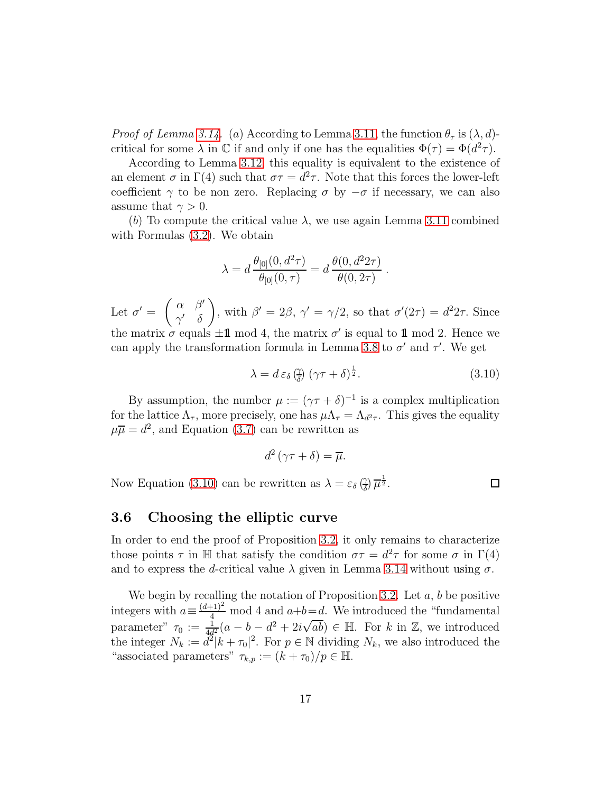*Proof of Lemma [3.14.](#page-15-1)* (a) According to Lemma [3.11,](#page-12-1) the function  $\theta_{\tau}$  is  $(\lambda, d)$ critical for some  $\lambda$  in  $\mathbb C$  if and only if one has the equalities  $\Phi(\tau) = \Phi(d^2 \tau)$ .

According to Lemma [3.12,](#page-14-0) this equality is equivalent to the existence of an element  $\sigma$  in  $\Gamma(4)$  such that  $\sigma\tau = d^2\tau$ . Note that this forces the lower-left coefficient  $\gamma$  to be non zero. Replacing  $\sigma$  by  $-\sigma$  if necessary, we can also assume that  $\gamma > 0$ .

(b) To compute the critical value  $\lambda$ , we use again Lemma [3.11](#page-12-1) combined with Formulas [\(3.2\)](#page-10-1). We obtain

$$
\lambda = d \frac{\theta_{[0]}(0, d^2 \tau)}{\theta_{[0]}(0, \tau)} = d \frac{\theta(0, d^2 2\tau)}{\theta(0, 2\tau)}.
$$

Let  $\sigma' =$  $\int \alpha \beta'$  $\gamma' \quad \delta$ , with  $\beta' = 2\beta$ ,  $\gamma' = \gamma/2$ , so that  $\sigma'(2\tau) = d^2 2\tau$ . Since the matrix  $\sigma$  equals  $\pm \mathbf{1}$  mod 4, the matrix  $\sigma'$  is equal to  $\mathbf{1}$  mod 2. Hence we can apply the transformation formula in Lemma [3.8](#page-11-0) to  $\sigma'$  and  $\tau'$ . We get

$$
\lambda = d \, \varepsilon_{\delta} \left( \frac{\gamma}{\delta} \right) \left( \gamma \tau + \delta \right)^{\frac{1}{2}}. \tag{3.10}
$$

By assumption, the number  $\mu := (\gamma \tau + \delta)^{-1}$  is a complex multiplication for the lattice  $\Lambda_{\tau}$ , more precisely, one has  $\mu\Lambda_{\tau} = \Lambda_{d^2\tau}$ . This gives the equality  $\mu \overline{\mu} = d^2$ , and Equation [\(3.7\)](#page-15-2) can be rewritten as

$$
d^2(\gamma \tau + \delta) = \overline{\mu}.
$$

Now Equation [\(3.10\)](#page-16-0) can be rewritten as  $\lambda = \varepsilon_{\delta} \left( \frac{\gamma}{\delta} \right)$  $\frac{\gamma}{\delta}$ )  $\overline{\mu}^{\frac{1}{2}}$ .

<span id="page-16-0"></span> $\Box$ 

### 3.6 Choosing the elliptic curve

In order to end the proof of Proposition [3.2,](#page-8-0) it only remains to characterize those points  $\tau$  in H that satisfy the condition  $\sigma\tau = d^2\tau$  for some  $\sigma$  in  $\Gamma(4)$ and to express the d-critical value  $\lambda$  given in Lemma [3.14](#page-15-1) without using  $\sigma$ .

We begin by recalling the notation of Proposition [3.2.](#page-8-0) Let  $a, b$  be positive integers with  $a \equiv \frac{(d+1)^2}{4}$  mod 4 and  $a+b=d$ . We introduced the "fundamental parameter"  $\tau_0 := \frac{1}{4d^2}(a - b - d^2 + 2i\sqrt{ab}) \in \mathbb{H}$ . For k in Z, we introduced the integer  $N_k := d^2 |k + \tau_0|^2$ . For  $p \in \mathbb{N}$  dividing  $N_k$ , we also introduced the "associated parameters"  $\tau_{k,p} := (k + \tau_0)/p \in \mathbb{H}$ .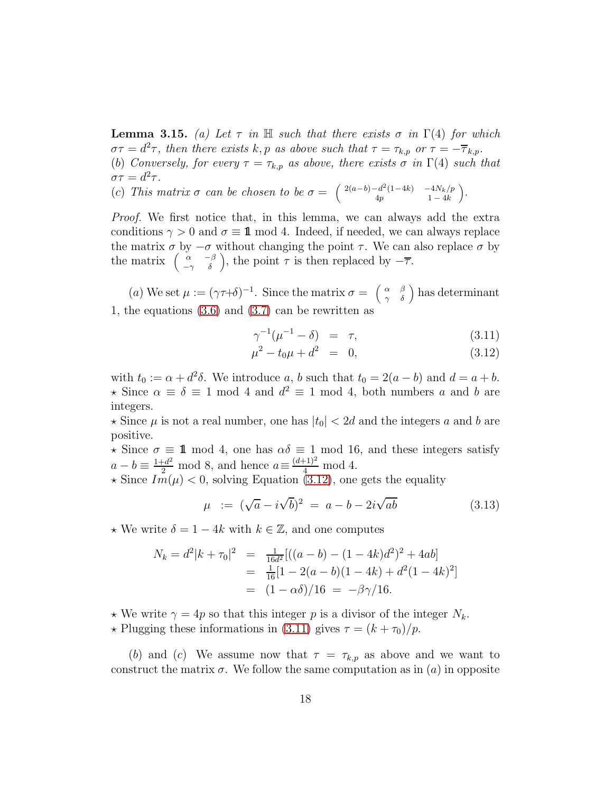<span id="page-17-1"></span>**Lemma 3.15.** *(a)* Let  $\tau$  *in*  $\mathbb{H}$  *such that there exists*  $\sigma$  *in*  $\Gamma(4)$  *for which*  $\sigma\tau = d^2\tau$ , then there exists k, p as above such that  $\tau = \tau_{k,p}$  or  $\tau = -\overline{\tau}_{k,p}$ . (b) *Conversely, for every*  $\tau = \tau_{k,p}$  *as above, there exists*  $\sigma$  *in*  $\Gamma(4)$  *such that*  $\sigma\tau = d^2\tau.$ 

(c) *This matrix*  $\sigma$  *can be chosen to be*  $\sigma = \begin{pmatrix} 2(a-b)-d^2(1-4k) & -4N_k/p \\ 4n & 1-4k \end{pmatrix}$  $4p$  1 – 4k .

*Proof.* We first notice that, in this lemma, we can always add the extra conditions  $\gamma > 0$  and  $\sigma \equiv \mathbf{1} \mod 4$ . Indeed, if needed, we can always replace the matrix  $\sigma$  by  $-\sigma$  without changing the point  $\tau$ . We can also replace  $\sigma$  by the matrix  $\begin{pmatrix} \alpha & -\beta \\ -\gamma & \delta \end{pmatrix}$ , the point  $\tau$  is then replaced by  $-\overline{\tau}$ .

(a) We set  $\mu := (\gamma \tau + \delta)^{-1}$ . Since the matrix  $\sigma = \begin{pmatrix} \alpha & \beta \\ \gamma & \delta \end{pmatrix}$  has determinant 1, the equations [\(3.6\)](#page-15-2) and [\(3.7\)](#page-15-2) can be rewritten as

<span id="page-17-0"></span>
$$
\gamma^{-1}(\mu^{-1} - \delta) = \tau, \tag{3.11}
$$

$$
\mu^2 - t_0 \mu + d^2 = 0, \tag{3.12}
$$

with  $t_0 := \alpha + d^2\delta$ . We introduce a, b such that  $t_0 = 2(a - b)$  and  $d = a + b$ .  $\star$  Since  $\alpha \equiv \delta \equiv 1 \mod 4$  and  $d^2 \equiv 1 \mod 4$ , both numbers *a* and *b* are integers.

 $\star$  Since  $\mu$  is not a real number, one has  $|t_0| < 2d$  and the integers a and b are positive.

 $\star$  Since  $\sigma \equiv \mathbf{1} \mod 4$ , one has  $\alpha \delta \equiv 1 \mod 16$ , and these integers satisfy  $a - b \equiv \frac{1+d^2}{2} \mod 8$ , and hence  $a \equiv \frac{(d+1)^2}{4} \mod 4$ .

 $\star$  Since  $Im(\mu)$  < 0, solving Equation [\(3.12\)](#page-17-0), one gets the equality

<span id="page-17-2"></span>
$$
\mu := (\sqrt{a} - i\sqrt{b})^2 = a - b - 2i\sqrt{ab} \tag{3.13}
$$

 $\star$  We write  $\delta = 1 - 4k$  with  $k \in \mathbb{Z}$ , and one computes

$$
N_k = d^2|k + \tau_0|^2 = \frac{1}{16d^2} [((a - b) - (1 - 4k)d^2)^2 + 4ab]
$$
  
=  $\frac{1}{16}[1 - 2(a - b)(1 - 4k) + d^2(1 - 4k)^2]$   
=  $(1 - \alpha\delta)/16 = -\beta\gamma/16.$ 

 $\star$  We write  $\gamma = 4p$  so that this integer p is a divisor of the integer  $N_k$ .  $\star$  Plugging these informations in [\(3.11\)](#page-17-0) gives  $\tau = (k + \tau_0)/p$ .

(b) and (c) We assume now that  $\tau = \tau_{k,p}$  as above and we want to construct the matrix  $\sigma$ . We follow the same computation as in (a) in opposite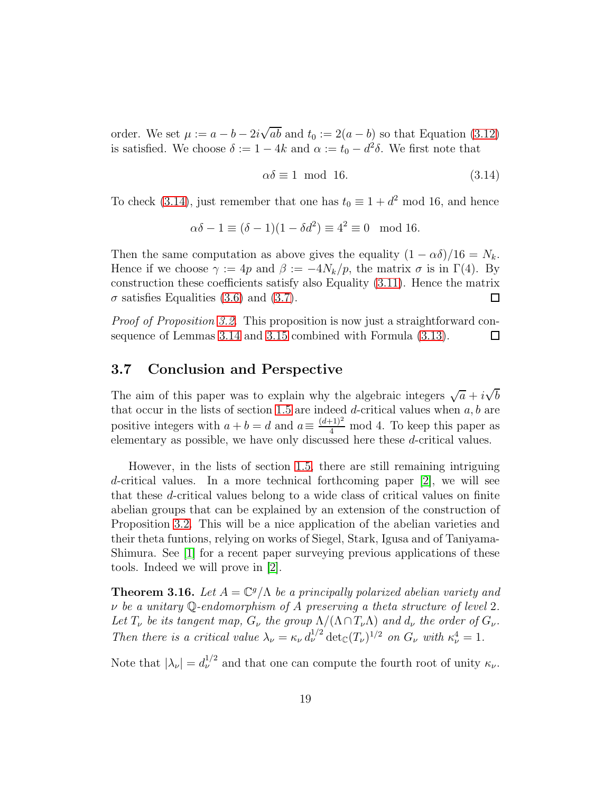order. We set  $\mu := a - b - 2i\sqrt{ab}$  and  $t_0 := 2(a - b)$  so that Equation [\(3.12\)](#page-17-0) is satisfied. We choose  $\delta := 1 - 4k$  and  $\alpha := t_0 - d^2\delta$ . We first note that

<span id="page-18-1"></span>
$$
\alpha \delta \equiv 1 \text{ mod } 16. \tag{3.14}
$$

To check [\(3.14\)](#page-18-1), just remember that one has  $t_0 \equiv 1 + d^2 \mod 16$ , and hence

$$
\alpha \delta - 1 \equiv (\delta - 1)(1 - \delta d^2) \equiv 4^2 \equiv 0 \mod 16.
$$

Then the same computation as above gives the equality  $(1 - \alpha \delta)/16 = N_k$ . Hence if we choose  $\gamma := 4p$  and  $\beta := -4N_k/p$ , the matrix  $\sigma$  is in  $\Gamma(4)$ . By construction these coefficients satisfy also Equality [\(3.11\)](#page-17-0). Hence the matrix  $\sigma$  satisfies Equalities [\(3.6\)](#page-15-2) and [\(3.7\)](#page-15-2). 口

*Proof of Proposition [3.2.](#page-8-0)* This proposition is now just a straightforward consequence of Lemmas [3.14](#page-15-1) and [3.15](#page-17-1) combined with Formula [\(3.13\)](#page-17-2).  $\Box$ 

## 3.7 Conclusion and Perspective

The aim of this paper was to explain why the algebraic integers  $\sqrt{a} + i\sqrt{b}$ that occur in the lists of section [1.5](#page-2-0) are indeed  $d$ -critical values when  $a, b$  are positive integers with  $a + b = d$  and  $a \equiv \frac{(d+1)^2}{4} \mod 4$ . To keep this paper as elementary as possible, we have only discussed here these d-critical values.

However, in the lists of section [1.5,](#page-2-0) there are still remaining intriguing d-critical values. In a more technical forthcoming paper [\[2\]](#page-19-1), we will see that these d-critical values belong to a wide class of critical values on finite abelian groups that can be explained by an extension of the construction of Proposition [3.2.](#page-8-0) This will be a nice application of the abelian varieties and their theta funtions, relying on works of Siegel, Stark, Igusa and of Taniyama-Shimura. See [\[1\]](#page-19-8) for a recent paper surveying previous applications of these tools. Indeed we will prove in [\[2\]](#page-19-1).

<span id="page-18-0"></span>**Theorem 3.16.** Let  $A = \mathbb{C}^g/\Lambda$  be a principally polarized abelian variety and ν *be a unitary* Q*-endomorphism of* A *preserving a theta structure of level* 2*.* Let  $T_{\nu}$  *be its tangent map,*  $G_{\nu}$  *the group*  $\Lambda/(\Lambda \cap T_{\nu}\Lambda)$  *and*  $d_{\nu}$  *the order of*  $G_{\nu}$ *. Then there is a critical value*  $\lambda_{\nu} = \kappa_{\nu} d_{\nu}^{1/2} \det_{\mathbb{C}} (T_{\nu})^{1/2}$  *on*  $G_{\nu}$  *with*  $\kappa_{\nu}^4 = 1$ *.* 

Note that  $|\lambda_{\nu}| = d_{\nu}^{1/2}$  and that one can compute the fourth root of unity  $\kappa_{\nu}$ .